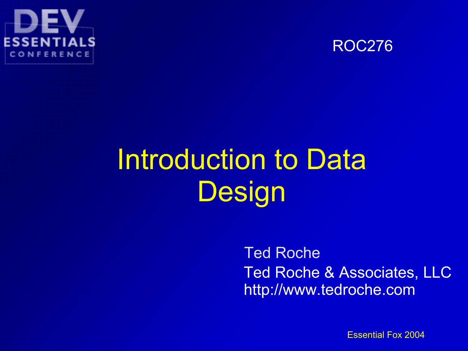



#### Introduction to Data **Design**

#### Ted Roche Ted Roche & Associates, LLC http://www.tedroche.com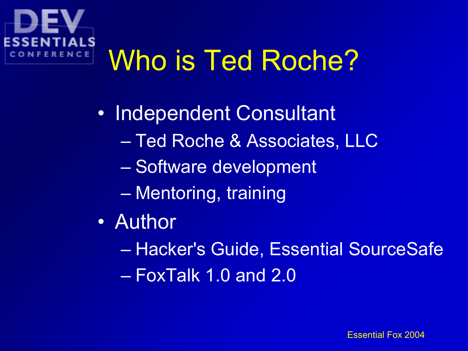# Who is Ted Roche?

• Independent Consultant – Ted Roche & Associates, LLC – Software development – Mentoring, training

- Author
	- Hacker's Guide, Essential SourceSafe
	- FoxTalk 1.0 and 2.0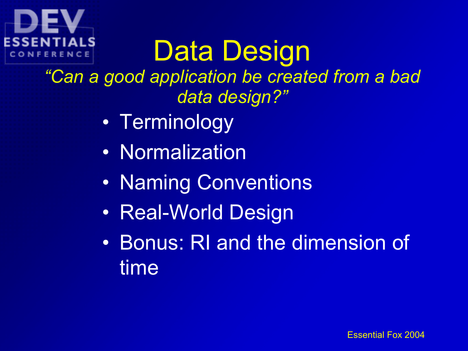

# Data Design

*"Can a good application be created from a bad data design?"*

- Terminology
- Normalization
- Naming Conventions
- Real-World Design
- Bonus: RI and the dimension of time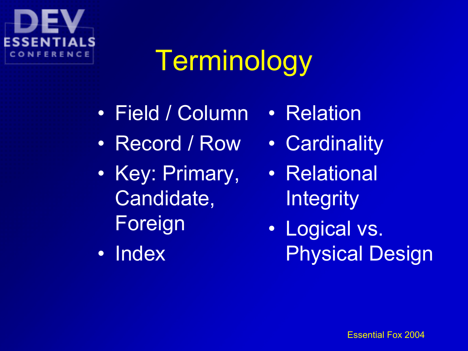#### SEN CONFERENCE

## Terminology

- Field / Column • Relation
- Record / Row
- Key: Primary, Candidate, Foreign
- Index
- Cardinality
- Relational **Integrity**
- Logical vs. Physical Design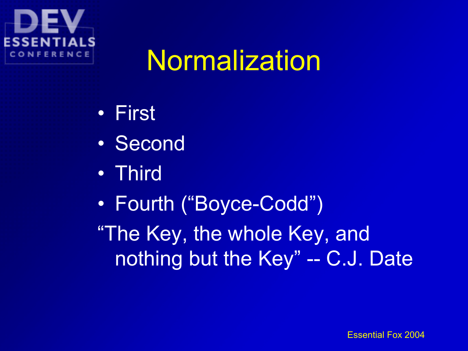

#### Normalization

- First
- Second
- Third
- Fourth ("Boyce-Codd")

"The Key, the whole Key, and nothing but the Key" -- C.J. Date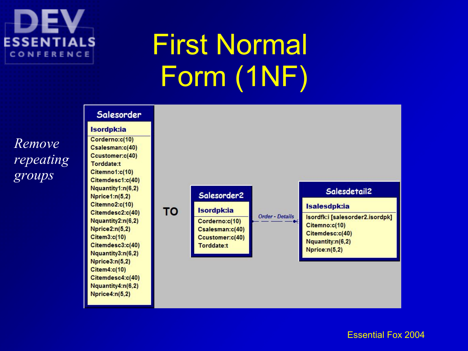

*groups*

## First Normal Form (1NF)

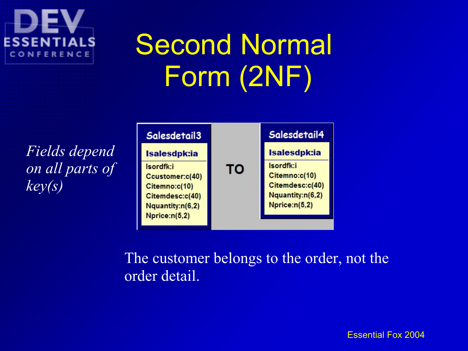## Second Normal Form (2NF)

*Fields depend on all parts of key(s)*

ESSENT

CONFERENCE



The customer belongs to the order, not the order detail.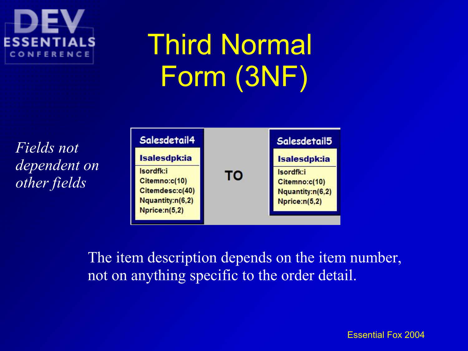# Third Normal Form (3NF)

*Fields not dependent on other fields*

ESSEN

CONFERENCE



The item description depends on the item number, not on anything specific to the order detail.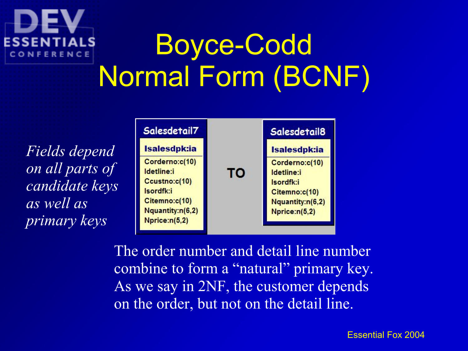# Boyce-Codd Normal Form (BCNF)

*Fields depend on all parts of candidate keys as well as primary keys*

CONFERENCE



The order number and detail line number combine to form a "natural" primary key. As we say in 2NF, the customer depends on the order, but not on the detail line.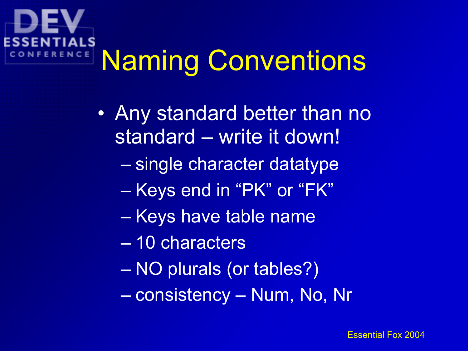## Naming Conventions NCE

- Any standard better than no standard – write it down!
	- single character datatype
	- Keys end in "PK" or "FK"
	- Keys have table name
	- 10 characters
	- NO plurals (or tables?)
	- consistency Num, No, Nr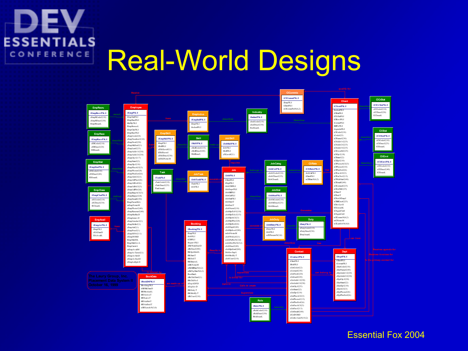#### **ESSENTIALS** Real-World Designs CONFERENCE

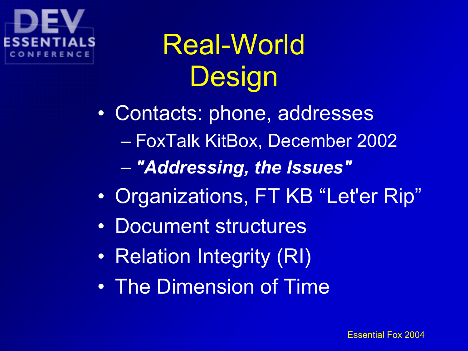Real-World **Design** 

• Contacts: phone, addresses – FoxTalk KitBox, December 2002

- *"Addressing, the Issues"*
- Organizations, FT KB "Let'er Rip"
- Document structures
- Relation Integrity (RI)
- The Dimension of Time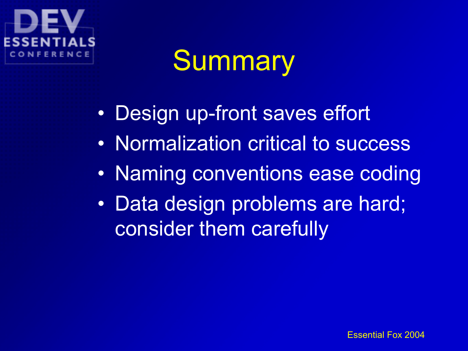### **Summary**

- Design up-front saves effort
- Normalization critical to success
- Naming conventions ease coding
- Data design problems are hard; consider them carefully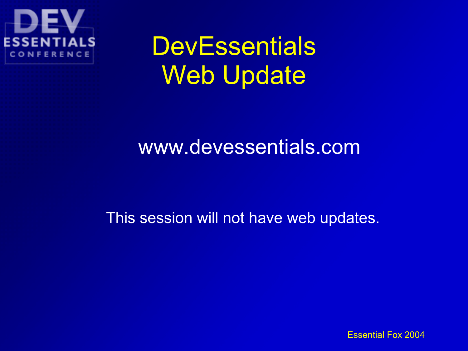

#### **DevEssentials** Web Update

#### www.devessentials.com

This session will not have web updates.